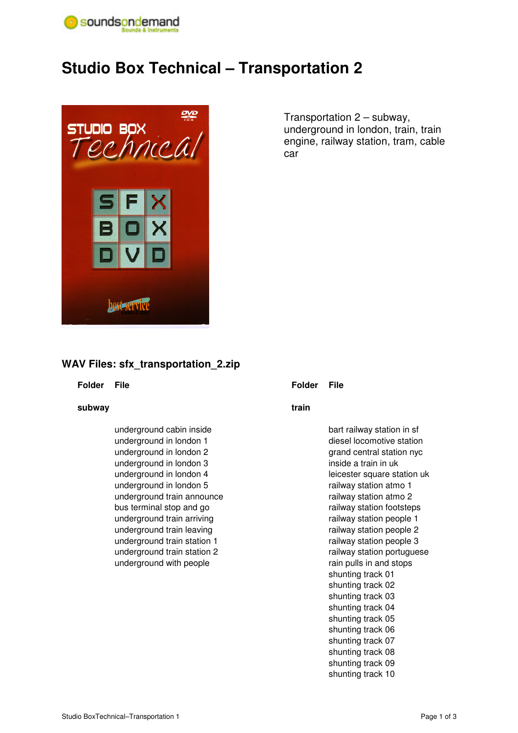

# **Studio Box Technical – Transportation 2**



Transportation 2 – subway, underground in london, train, train engine, railway station, tram, cable car

# **WAV Files: sfx\_transportation\_2.zip**

## **Folder File**

## **subway**

 underground cabin inside underground in london 1 underground in london 2 underground in london 3 underground in london 4 underground in london 5 underground train announce bus terminal stop and go underground train arriving underground train leaving underground train station 1 underground train station 2 underground with people

## **Folder File**

## **train**

 bart railway station in sf diesel locomotive station grand central station nyc inside a train in uk leicester square station uk railway station atmo 1 railway station atmo 2 railway station footsteps railway station people 1 railway station people 2 railway station people 3 railway station portuguese rain pulls in and stops shunting track 01 shunting track 02 shunting track 03 shunting track 04 shunting track 05 shunting track 06 shunting track 07 shunting track 08 shunting track 09 shunting track 10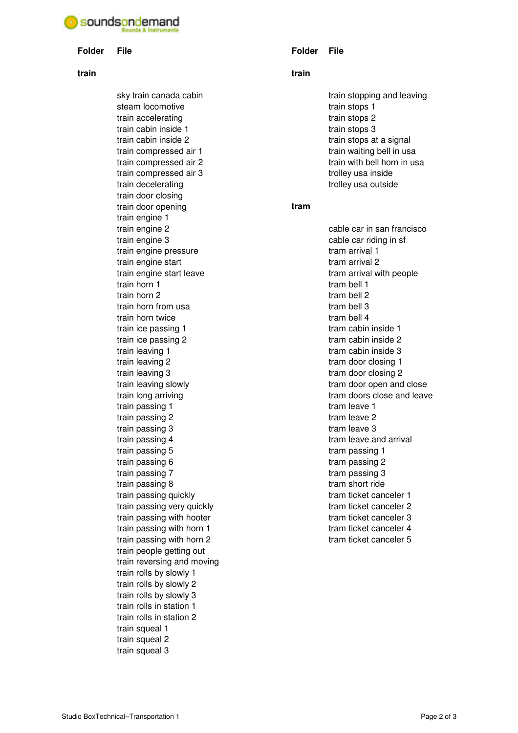# soundsondemand

#### **Folder File**

#### **train**

 sky train canada cabin steam locomotive train accelerating train cabin inside 1 train cabin inside 2 train compressed air 1 train compressed air 2 train compressed air 3 train decelerating train door closing train door opening train engine 1 train engine 2 train engine 3 train engine pressure train engine start train engine start leave train horn 1 train horn 2 train horn from usa train horn twice train ice passing 1 train ice passing 2 train leaving 1 train leaving 2 train leaving 3 train leaving slowly train long arriving train passing 1 train passing 2 train passing 3 train passing 4 train passing 5 train passing 6 train passing 7 train passing 8 train passing quickly train passing very quickly train passing with hooter train passing with horn 1 train passing with horn 2 train people getting out train reversing and moving train rolls by slowly 1 train rolls by slowly 2 train rolls by slowly 3 train rolls in station 1 train rolls in station 2 train squeal 1 train squeal 2 train squeal 3

### **Folder File**

#### **train**

 train stopping and leaving train stops 1 train stops 2 train stops 3 train stops at a signal train waiting bell in usa train with bell horn in usa trolley usa inside trolley usa outside

# **tram**

 cable car in san francisco cable car riding in sf tram arrival 1 tram arrival 2 tram arrival with people tram bell 1 tram bell 2 tram bell 3 tram bell 4 tram cabin inside 1 tram cabin inside 2 tram cabin inside 3 tram door closing 1 tram door closing 2 tram door open and close tram doors close and leave tram leave 1 tram leave 2 tram leave 3 tram leave and arrival tram passing 1 tram passing 2 tram passing 3 tram short ride tram ticket canceler 1 tram ticket canceler 2 tram ticket canceler 3 tram ticket canceler 4 tram ticket canceler 5